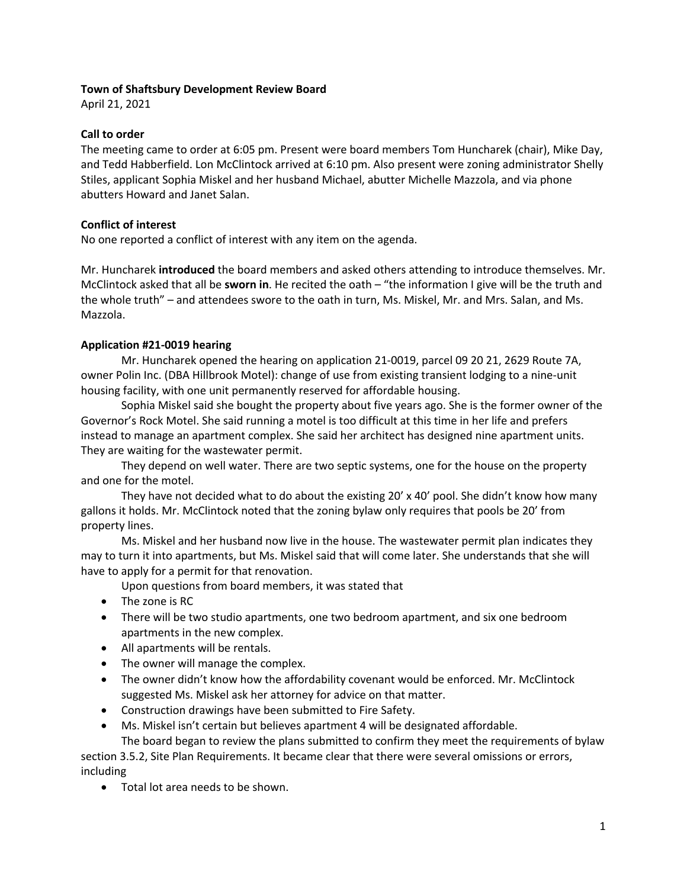# **Town of Shaftsbury Development Review Board**

April 21, 2021

### **Call to order**

The meeting came to order at 6:05 pm. Present were board members Tom Huncharek (chair), Mike Day, and Tedd Habberfield. Lon McClintock arrived at 6:10 pm. Also present were zoning administrator Shelly Stiles, applicant Sophia Miskel and her husband Michael, abutter Michelle Mazzola, and via phone abutters Howard and Janet Salan.

# **Conflict of interest**

No one reported a conflict of interest with any item on the agenda.

Mr. Huncharek **introduced** the board members and asked others attending to introduce themselves. Mr. McClintock asked that all be **sworn in**. He recited the oath – "the information I give will be the truth and the whole truth" – and attendees swore to the oath in turn, Ms. Miskel, Mr. and Mrs. Salan, and Ms. Mazzola.

# **Application #21-0019 hearing**

Mr. Huncharek opened the hearing on application 21-0019, parcel 09 20 21, 2629 Route 7A, owner Polin Inc. (DBA Hillbrook Motel): change of use from existing transient lodging to a nine-unit housing facility, with one unit permanently reserved for affordable housing.

Sophia Miskel said she bought the property about five years ago. She is the former owner of the Governor's Rock Motel. She said running a motel is too difficult at this time in her life and prefers instead to manage an apartment complex. She said her architect has designed nine apartment units. They are waiting for the wastewater permit.

They depend on well water. There are two septic systems, one for the house on the property and one for the motel.

They have not decided what to do about the existing 20' x 40' pool. She didn't know how many gallons it holds. Mr. McClintock noted that the zoning bylaw only requires that pools be 20' from property lines.

Ms. Miskel and her husband now live in the house. The wastewater permit plan indicates they may to turn it into apartments, but Ms. Miskel said that will come later. She understands that she will have to apply for a permit for that renovation.

- Upon questions from board members, it was stated that
- The zone is RC
- There will be two studio apartments, one two bedroom apartment, and six one bedroom apartments in the new complex.
- All apartments will be rentals.
- The owner will manage the complex.
- The owner didn't know how the affordability covenant would be enforced. Mr. McClintock suggested Ms. Miskel ask her attorney for advice on that matter.
- Construction drawings have been submitted to Fire Safety.
- Ms. Miskel isn't certain but believes apartment 4 will be designated affordable.

The board began to review the plans submitted to confirm they meet the requirements of bylaw section 3.5.2, Site Plan Requirements. It became clear that there were several omissions or errors, including

• Total lot area needs to be shown.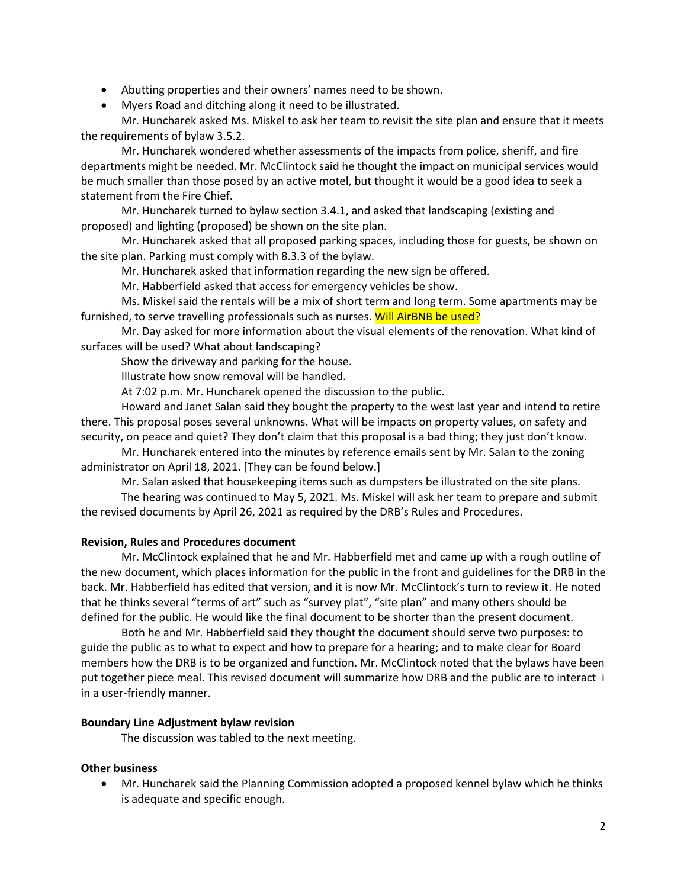- Abutting properties and their owners' names need to be shown.
- Myers Road and ditching along it need to be illustrated.

Mr. Huncharek asked Ms. Miskel to ask her team to revisit the site plan and ensure that it meets the requirements of bylaw 3.5.2.

Mr. Huncharek wondered whether assessments of the impacts from police, sheriff, and fire departments might be needed. Mr. McClintock said he thought the impact on municipal services would be much smaller than those posed by an active motel, but thought it would be a good idea to seek a statement from the Fire Chief.

Mr. Huncharek turned to bylaw section 3.4.1, and asked that landscaping (existing and proposed) and lighting (proposed) be shown on the site plan.

Mr. Huncharek asked that all proposed parking spaces, including those for guests, be shown on the site plan. Parking must comply with 8.3.3 of the bylaw.

Mr. Huncharek asked that information regarding the new sign be offered.

Mr. Habberfield asked that access for emergency vehicles be show.

Ms. Miskel said the rentals will be a mix of short term and long term. Some apartments may be furnished, to serve travelling professionals such as nurses. Will AirBNB be used?

Mr. Day asked for more information about the visual elements of the renovation. What kind of surfaces will be used? What about landscaping?

Show the driveway and parking for the house.

Illustrate how snow removal will be handled.

At 7:02 p.m. Mr. Huncharek opened the discussion to the public.

Howard and Janet Salan said they bought the property to the west last year and intend to retire there. This proposal poses several unknowns. What will be impacts on property values, on safety and security, on peace and quiet? They don't claim that this proposal is a bad thing; they just don't know.

Mr. Huncharek entered into the minutes by reference emails sent by Mr. Salan to the zoning administrator on April 18, 2021. [They can be found below.]

Mr. Salan asked that housekeeping items such as dumpsters be illustrated on the site plans.

The hearing was continued to May 5, 2021. Ms. Miskel will ask her team to prepare and submit the revised documents by April 26, 2021 as required by the DRB's Rules and Procedures.

# **Revision, Rules and Procedures document**

Mr. McClintock explained that he and Mr. Habberfield met and came up with a rough outline of the new document, which places information for the public in the front and guidelines for the DRB in the back. Mr. Habberfield has edited that version, and it is now Mr. McClintock's turn to review it. He noted that he thinks several "terms of art" such as "survey plat", "site plan" and many others should be defined for the public. He would like the final document to be shorter than the present document.

Both he and Mr. Habberfield said they thought the document should serve two purposes: to guide the public as to what to expect and how to prepare for a hearing; and to make clear for Board members how the DRB is to be organized and function. Mr. McClintock noted that the bylaws have been put together piece meal. This revised document will summarize how DRB and the public are to interact i in a user-friendly manner.

# **Boundary Line Adjustment bylaw revision**

The discussion was tabled to the next meeting.

# **Other business**

• Mr. Huncharek said the Planning Commission adopted a proposed kennel bylaw which he thinks is adequate and specific enough.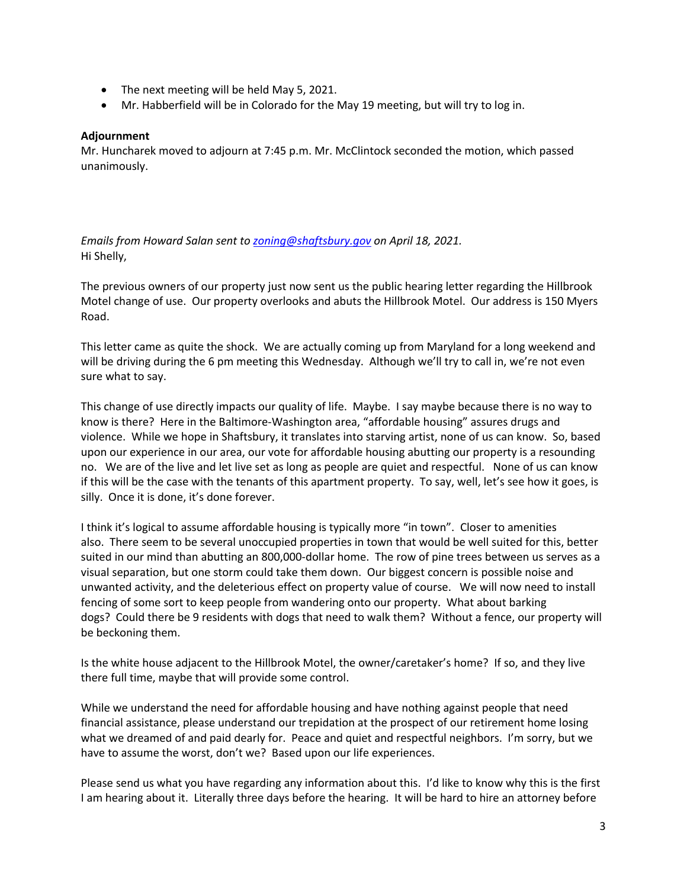- The next meeting will be held May 5, 2021.
- Mr. Habberfield will be in Colorado for the May 19 meeting, but will try to log in.

### **Adjournment**

Mr. Huncharek moved to adjourn at 7:45 p.m. Mr. McClintock seconded the motion, which passed unanimously.

*Emails from Howard Salan sent to zoning@shaftsbury.gov on April 18, 2021.* Hi Shelly,

The previous owners of our property just now sent us the public hearing letter regarding the Hillbrook Motel change of use. Our property overlooks and abuts the Hillbrook Motel. Our address is 150 Myers Road.

This letter came as quite the shock. We are actually coming up from Maryland for a long weekend and will be driving during the 6 pm meeting this Wednesday. Although we'll try to call in, we're not even sure what to say.

This change of use directly impacts our quality of life. Maybe. I say maybe because there is no way to know is there? Here in the Baltimore-Washington area, "affordable housing" assures drugs and violence. While we hope in Shaftsbury, it translates into starving artist, none of us can know. So, based upon our experience in our area, our vote for affordable housing abutting our property is a resounding no. We are of the live and let live set as long as people are quiet and respectful. None of us can know if this will be the case with the tenants of this apartment property. To say, well, let's see how it goes, is silly. Once it is done, it's done forever.

I think it's logical to assume affordable housing is typically more "in town". Closer to amenities also. There seem to be several unoccupied properties in town that would be well suited for this, better suited in our mind than abutting an 800,000-dollar home. The row of pine trees between us serves as a visual separation, but one storm could take them down. Our biggest concern is possible noise and unwanted activity, and the deleterious effect on property value of course. We will now need to install fencing of some sort to keep people from wandering onto our property. What about barking dogs? Could there be 9 residents with dogs that need to walk them? Without a fence, our property will be beckoning them.

Is the white house adjacent to the Hillbrook Motel, the owner/caretaker's home? If so, and they live there full time, maybe that will provide some control.

While we understand the need for affordable housing and have nothing against people that need financial assistance, please understand our trepidation at the prospect of our retirement home losing what we dreamed of and paid dearly for. Peace and quiet and respectful neighbors. I'm sorry, but we have to assume the worst, don't we? Based upon our life experiences.

Please send us what you have regarding any information about this. I'd like to know why this is the first I am hearing about it. Literally three days before the hearing. It will be hard to hire an attorney before